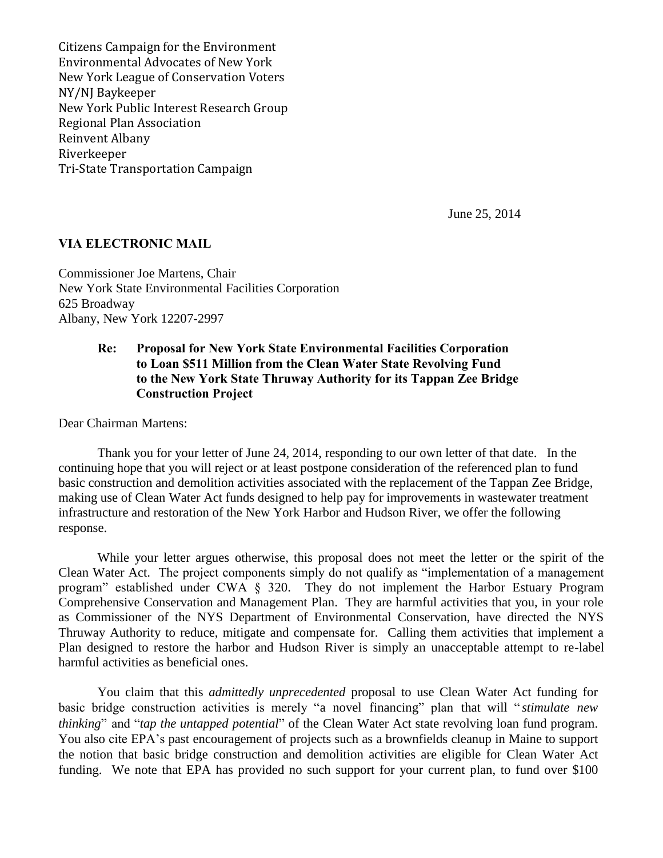Citizens Campaign for the Environment Environmental Advocates of New York New York League of Conservation Voters NY/NJ Baykeeper New York Public Interest Research Group Regional Plan Association Reinvent Albany Riverkeeper Tri-State Transportation Campaign

June 25, 2014

## **VIA ELECTRONIC MAIL**

Commissioner Joe Martens, Chair New York State Environmental Facilities Corporation 625 Broadway Albany, New York 12207-2997

## **Re: Proposal for New York State Environmental Facilities Corporation to Loan \$511 Million from the Clean Water State Revolving Fund to the New York State Thruway Authority for its Tappan Zee Bridge Construction Project**

Dear Chairman Martens:

Thank you for your letter of June 24, 2014, responding to our own letter of that date. In the continuing hope that you will reject or at least postpone consideration of the referenced plan to fund basic construction and demolition activities associated with the replacement of the Tappan Zee Bridge, making use of Clean Water Act funds designed to help pay for improvements in wastewater treatment infrastructure and restoration of the New York Harbor and Hudson River, we offer the following response.

While your letter argues otherwise, this proposal does not meet the letter or the spirit of the Clean Water Act. The project components simply do not qualify as "implementation of a management program" established under CWA § 320. They do not implement the Harbor Estuary Program Comprehensive Conservation and Management Plan. They are harmful activities that you, in your role as Commissioner of the NYS Department of Environmental Conservation, have directed the NYS Thruway Authority to reduce, mitigate and compensate for. Calling them activities that implement a Plan designed to restore the harbor and Hudson River is simply an unacceptable attempt to re-label harmful activities as beneficial ones.

You claim that this *admittedly unprecedented* proposal to use Clean Water Act funding for basic bridge construction activities is merely "a novel financing" plan that will " *stimulate new thinking*" and "*tap the untapped potential*" of the Clean Water Act state revolving loan fund program. You also cite EPA's past encouragement of projects such as a brownfields cleanup in Maine to support the notion that basic bridge construction and demolition activities are eligible for Clean Water Act funding. We note that EPA has provided no such support for your current plan, to fund over \$100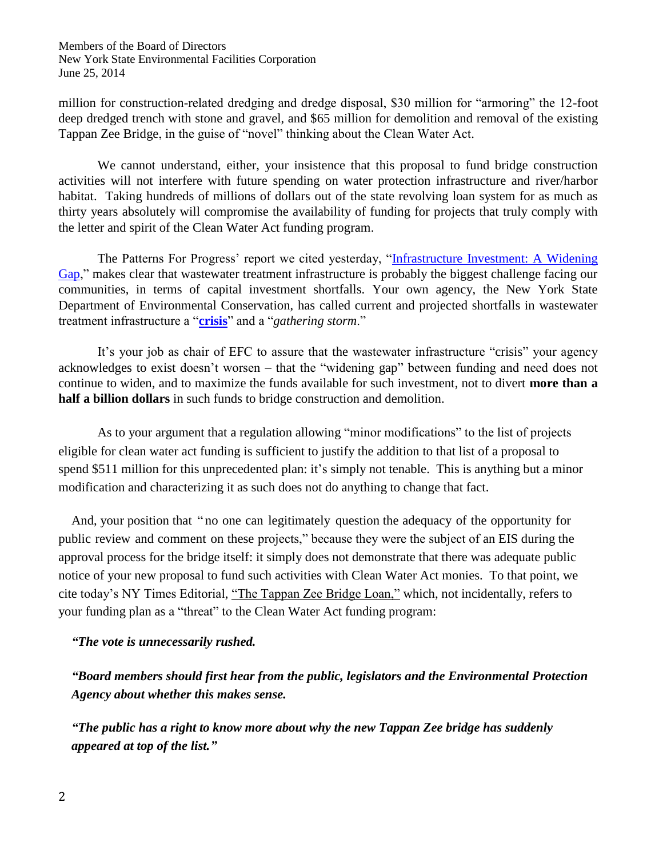million for construction-related dredging and dredge disposal, \$30 million for "armoring" the 12-foot deep dredged trench with stone and gravel, and \$65 million for demolition and removal of the existing Tappan Zee Bridge, in the guise of "novel" thinking about the Clean Water Act.

We cannot understand, either, your insistence that this proposal to fund bridge construction activities will not interfere with future spending on water protection infrastructure and river/harbor habitat. Taking hundreds of millions of dollars out of the state revolving loan system for as much as thirty years absolutely will compromise the availability of funding for projects that truly comply with the letter and spirit of the Clean Water Act funding program.

The Patterns For Progress' report we cited yesterday, ["Infrastructure Investment: A Widening](http://pattern-for-progress.org/sites/default/files/2014%20Infrastructure%20report%20FINAL.pdf)  [Gap,](http://pattern-for-progress.org/sites/default/files/2014%20Infrastructure%20report%20FINAL.pdf)" makes clear that wastewater treatment infrastructure is probably the biggest challenge facing our communities, in terms of capital investment shortfalls. Your own agency, the New York State Department of Environmental Conservation, has called current and projected shortfalls in wastewater treatment infrastructure a "**[crisis](http://www.dec.ny.gov/chemical/48803.html)**" and a "*gathering storm*."

It's your job as chair of EFC to assure that the wastewater infrastructure "crisis" your agency acknowledges to exist doesn't worsen – that the "widening gap" between funding and need does not continue to widen, and to maximize the funds available for such investment, not to divert **more than a half a billion dollars** in such funds to bridge construction and demolition.

As to your argument that a regulation allowing "minor modifications" to the list of projects eligible for clean water act funding is sufficient to justify the addition to that list of a proposal to spend \$511 million for this unprecedented plan: it's simply not tenable. This is anything but a minor modification and characterizing it as such does not do anything to change that fact.

And, your position that " no one can legitimately question the adequacy of the opportunity for public review and comment on these projects," because they were the subject of an EIS during the approval process for the bridge itself: it simply does not demonstrate that there was adequate public notice of your new proposal to fund such activities with Clean Water Act monies. To that point, we cite today's NY Times Editorial, ["The Tappan Zee Bridge Loan,"](http://mobile.nytimes.com/2014/06/25/opinion/the-tappan-zee-bridge-loan.html?referrer=&_r=0) which, not incidentally, refers to your funding plan as a "threat" to the Clean Water Act funding program:

## *"The vote is unnecessarily rushed.*

*"Board members should first hear from the public, legislators and the Environmental Protection Agency about whether this makes sense.* 

*"The public has a right to know more about why the new Tappan Zee bridge has suddenly appeared at top of the list."*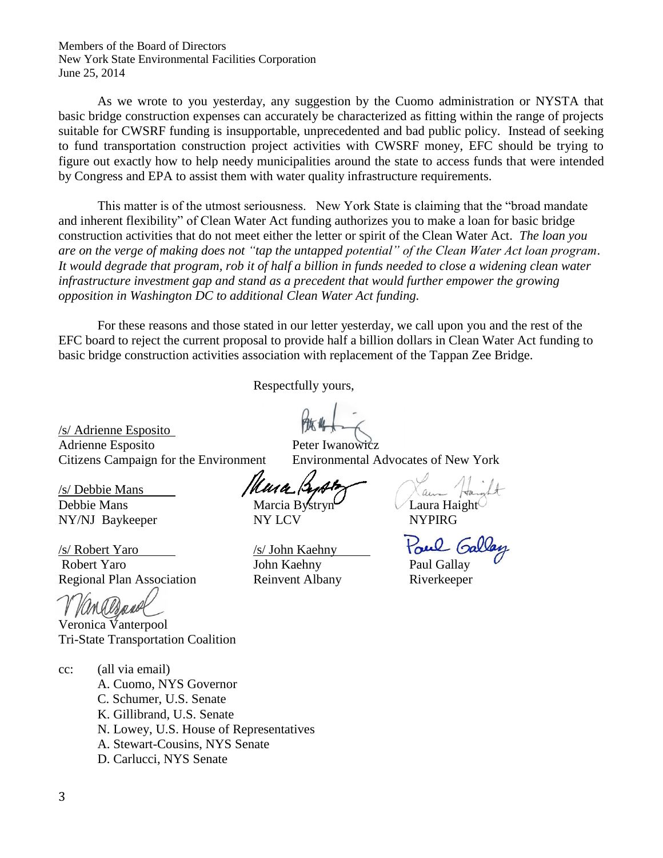Members of the Board of Directors New York State Environmental Facilities Corporation June 25, 2014

As we wrote to you yesterday, any suggestion by the Cuomo administration or NYSTA that basic bridge construction expenses can accurately be characterized as fitting within the range of projects suitable for CWSRF funding is insupportable, unprecedented and bad public policy. Instead of seeking to fund transportation construction project activities with CWSRF money, EFC should be trying to figure out exactly how to help needy municipalities around the state to access funds that were intended by Congress and EPA to assist them with water quality infrastructure requirements.

This matter is of the utmost seriousness. New York State is claiming that the "broad mandate and inherent flexibility" of Clean Water Act funding authorizes you to make a loan for basic bridge construction activities that do not meet either the letter or spirit of the Clean Water Act. *The loan you are on the verge of making does not "tap the untapped potential" of the Clean Water Act loan program*. *It would degrade that program, rob it of half a billion in funds needed to close a widening clean water infrastructure investment gap and stand as a precedent that would further empower the growing opposition in Washington DC to additional Clean Water Act funding.*

For these reasons and those stated in our letter yesterday, we call upon you and the rest of the EFC board to reject the current proposal to provide half a billion dollars in Clean Water Act funding to basic bridge construction activities association with replacement of the Tappan Zee Bridge.

Respectfully yours,

/s/ Adrienne Esposito Adrienne Esposito Peter Iwanowicz Citizens Campaign for the Environment Environmental Advocates of New York

/s/ Debbie Mans Debbie Mans Marcia Bystryn Laura Haight NY/NJ Baykeeper NY LCV NYPIRG

/s/ Robert Yaro /s/ John Kaehny Robert Yaro **Iohn Kaehny** Paul Gallay Regional Plan Association Reinvent Albany Riverkeeper

Veronica Vanterpool Tri-State Transportation Coalition

- cc: (all via email) A. Cuomo, NYS Governor C. Schumer, U.S. Senate K. Gillibrand, U.S. Senate N. Lowey, U.S. House of Representatives A. Stewart-Cousins, NYS Senate
	- D. Carlucci, NYS Senate